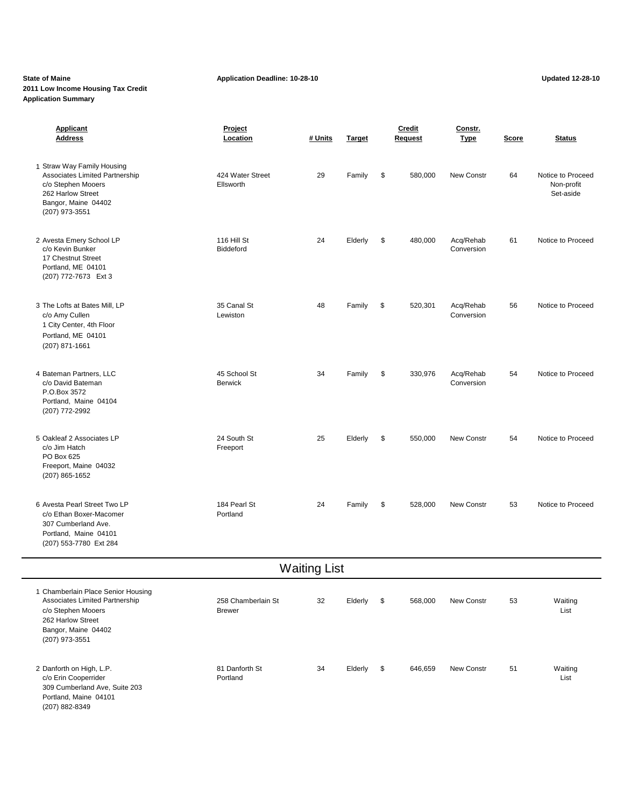# **2011 Low Income Housing Tax Credit Application Summary**

| <b>Applicant</b><br><b>Address</b>                                                                                                                       | Project<br>Location                 | # Units             | <b>Target</b> | <b>Credit</b><br><b>Request</b> |         | Constr.<br><b>Type</b>  | <b>Score</b> | <b>Status</b>                                |
|----------------------------------------------------------------------------------------------------------------------------------------------------------|-------------------------------------|---------------------|---------------|---------------------------------|---------|-------------------------|--------------|----------------------------------------------|
| 1 Straw Way Family Housing<br>Associates Limited Partnership<br>c/o Stephen Mooers<br>262 Harlow Street<br>Bangor, Maine 04402<br>(207) 973-3551         | 424 Water Street<br>Ellsworth       | 29                  | Family        | \$                              | 580,000 | New Constr              | 64           | Notice to Proceed<br>Non-profit<br>Set-aside |
| 2 Avesta Emery School LP<br>c/o Kevin Bunker<br>17 Chestnut Street<br>Portland, ME 04101<br>(207) 772-7673 Ext 3                                         | 116 Hill St<br>Biddeford            | 24                  | Elderly       | \$                              | 480,000 | Acq/Rehab<br>Conversion | 61           | Notice to Proceed                            |
| 3 The Lofts at Bates Mill, LP<br>c/o Amy Cullen<br>1 City Center, 4th Floor<br>Portland, ME 04101<br>$(207)$ 871-1661                                    | 35 Canal St<br>Lewiston             | 48                  | Family        | \$                              | 520,301 | Acq/Rehab<br>Conversion | 56           | Notice to Proceed                            |
| 4 Bateman Partners, LLC<br>c/o David Bateman<br>P.O.Box 3572<br>Portland, Maine 04104<br>(207) 772-2992                                                  | 45 School St<br><b>Berwick</b>      | 34                  | Family        | \$                              | 330,976 | Acq/Rehab<br>Conversion | 54           | Notice to Proceed                            |
| 5 Oakleaf 2 Associates LP<br>c/o Jim Hatch<br>PO Box 625<br>Freeport, Maine 04032<br>(207) 865-1652                                                      | 24 South St<br>Freeport             | 25                  | Elderly       | \$                              | 550,000 | New Constr              | 54           | Notice to Proceed                            |
| 6 Avesta Pearl Street Two LP<br>c/o Ethan Boxer-Macomer<br>307 Cumberland Ave.<br>Portland, Maine 04101<br>(207) 553-7780 Ext 284                        | 184 Pearl St<br>Portland            | 24                  | Family        | \$                              | 528,000 | New Constr              | 53           | Notice to Proceed                            |
|                                                                                                                                                          |                                     | <b>Waiting List</b> |               |                                 |         |                         |              |                                              |
| 1 Chamberlain Place Senior Housing<br>Associates Limited Partnership<br>c/o Stephen Mooers<br>262 Harlow Street<br>Bangor, Maine 04402<br>(207) 973-3551 | 258 Chamberlain St<br><b>Brewer</b> | 32                  | Elderly       | $\sqrt{3}$                      | 568,000 | New Constr              | 53           | Waiting<br>List                              |
| 2 Danforth on High, L.P.<br>c/o Erin Cooperrider<br>309 Cumberland Ave, Suite 203<br>Portland, Maine 04101<br>(207) 882-8349                             | 81 Danforth St<br>Portland          | 34                  | Elderly       | \$                              | 646,659 | New Constr              | 51           | Waiting<br>List                              |